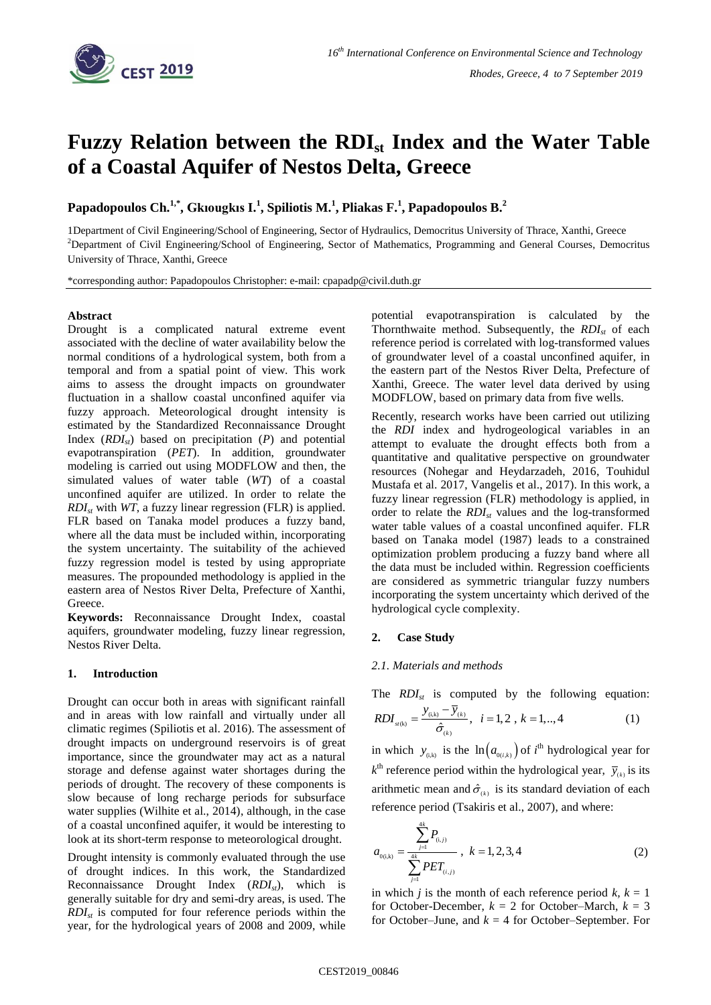

# **Fuzzy Relation between the RDIst Index and the Water Table of a Coastal Aquifer of Nestos Delta, Greece**

**Papadopoulos Ch. 1,\* , Gkıougkıs I. 1 , Spiliotis M. 1 , Pliakas F. 1 , Papadopoulos B.<sup>2</sup>**

1Department of Civil Engineering/School of Engineering, Sector of Hydraulics, Democritus University of Thrace, Xanthi, Greece <sup>2</sup>Department of Civil Engineering/School of Engineering, Sector of Mathematics, Programming and General Courses, Democritus University of Thrace, Xanthi, Greece

\*corresponding author: Papadopoulos Christopher: e-mail: cpapadp@civil.duth.gr

## **Abstract**

Drought is a complicated natural extreme event associated with the decline of water availability below the normal conditions of a hydrological system, both from a temporal and from a spatial point of view. This work aims to assess the drought impacts on groundwater fluctuation in a shallow coastal unconfined aquifer via fuzzy approach. Meteorological drought intensity is estimated by the Standardized Reconnaissance Drought Index  $(RDI_{st})$  based on precipitation  $(P)$  and potential evapotranspiration (*PET*). In addition, groundwater modeling is carried out using MODFLOW and then, the simulated values of water table (*WT*) of a coastal unconfined aquifer are utilized. In order to relate the *RDIst* with *WT*, a fuzzy linear regression (FLR) is applied. FLR based on Tanaka model produces a fuzzy band, where all the data must be included within, incorporating the system uncertainty. The suitability of the achieved fuzzy regression model is tested by using appropriate measures. The propounded methodology is applied in the eastern area of Nestos River Delta, Prefecture of Xanthi, **Greece** 

**Keywords:** Reconnaissance Drought Index, coastal aquifers, groundwater modeling, fuzzy linear regression, Nestos River Delta.

## **1. Introduction**

Drought can occur both in areas with significant rainfall and in areas with low rainfall and virtually under all climatic regimes (Spiliotis et al. 2016). The assessment of drought impacts on underground reservoirs is of great importance, since the groundwater may act as a natural storage and defense against water shortages during the periods of drought. The recovery of these components is slow because of long recharge periods for subsurface water supplies (Wilhite et al., 2014), although, in the case of a coastal unconfined aquifer, it would be interesting to look at its short-term response to meteorological drought.

Drought intensity is commonly evaluated through the use of drought indices. In this work, the Standardized Reconnaissance Drought Index (*RDIst*), which is generally suitable for dry and semi-dry areas, is used. The *RDIst* is computed for four reference periods within the year, for the hydrological years of 2008 and 2009, while potential evapotranspiration is calculated by the Thornthwaite method. Subsequently, the *RDIst* of each reference period is correlated with log-transformed values of groundwater level of a coastal unconfined aquifer, in the eastern part of the Nestos River Delta, Prefecture of Xanthi, Greece. The water level data derived by using MODFLOW, based on primary data from five wells.

Recently, research works have been carried out utilizing the *RDI* index and hydrogeological variables in an attempt to evaluate the drought effects both from a quantitative and qualitative perspective on groundwater resources (Nohegar and Heydarzadeh, 2016, Touhidul Mustafa et al. 2017, Vangelis et al., 2017). In this work, a fuzzy linear regression (FLR) methodology is applied, in order to relate the *RDIst* values and the log-transformed water table values of a coastal unconfined aquifer. FLR based on Tanaka model (1987) leads to a constrained optimization problem producing a fuzzy band where all the data must be included within. Regression coefficients are considered as symmetric triangular fuzzy numbers incorporating the system uncertainty which derived of the hydrological cycle complexity.

## **2. Case Study**

## *2.1. Materials and methods*

The *RDI<sub>st</sub>* is computed by the following equation:  
\n
$$
RDI_{st(k)} = \frac{y_{(i,k)} - \overline{y}_{(k)}}{\hat{\sigma}_{(k)}}, \quad i = 1, 2, k = 1, ..., 4
$$
\n(1)

in which  $y_{(i,k)}$  is the  $\ln(a_{0(i,k)})$  of *i*<sup>th</sup> hydrological year for  $k^{\text{th}}$  reference period within the hydrological year,  $\bar{y}_{(k)}$  is its arithmetic mean and  $\hat{\sigma}_{(k)}$  is its standard deviation of each reference period (Tsakiris et al., 2007), and where:

$$
a_{0(i,k)} = \frac{\sum_{j=1}^{4k} P_{(i,j)}}{\sum_{j=1}^{4k} PET_{(i,j)}}, \ k = 1, 2, 3, 4
$$
 (2)

in which *j* is the month of each reference period  $k, k = 1$ for October-December,  $k = 2$  for October-March,  $k = 3$ for October–June, and  $k = 4$  for October–September. For